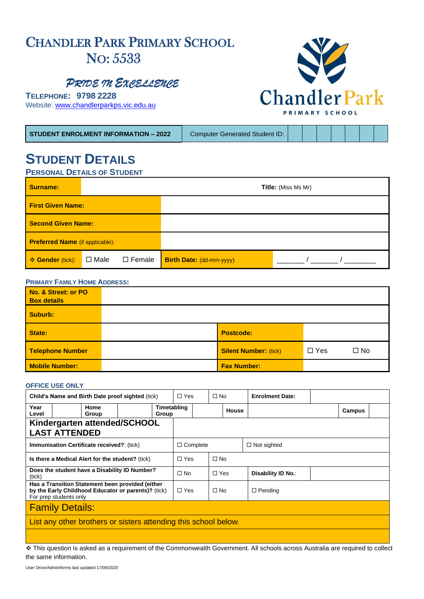# CHANDLER PARK PRIMARY SCHOOL NO: 5533

*PRIDE IN EXCELLENCE* 

**TELEPHONE: 9798 2228**  Website: [www.chandlerparkps.vic.edu.au](http://www.chandlerparkps.vic.edu.au/)

**STUDENT ENROLMENT INFORMATION – 2022** Computer Generated Student ID:

# **STUDENT DETAILS PERSONAL DETAILS OF STUDENT**

| <b>Surname:</b>                        |             |               | <b>Title:</b> (Miss Ms Mr)      |  |  |  |
|----------------------------------------|-------------|---------------|---------------------------------|--|--|--|
| <b>First Given Name:</b>               |             |               |                                 |  |  |  |
| <b>Second Given Name:</b>              |             |               |                                 |  |  |  |
| <b>Preferred Name</b> (if applicable): |             |               |                                 |  |  |  |
| ❖ Gender (tick):                       | $\Box$ Male | $\Box$ Female | <b>Birth Date: (dd-mm-yyyy)</b> |  |  |  |

#### **PRIMARY FAMILY HOME ADDRESS:**

| No. & Street: or PO<br><b>Box details</b> |                              |            |              |
|-------------------------------------------|------------------------------|------------|--------------|
| Suburb:                                   |                              |            |              |
| State:                                    | <b>Postcode:</b>             |            |              |
| Telephone Number                          | <b>Silent Number: (tick)</b> | $\Box$ Yes | $\square$ No |
| <b>Mobile Number:</b>                     | <b>Fax Number:</b>           |            |              |

#### **OFFICE USE ONLY**

| Child's Name and Birth Date proof sighted (tick)                                                                                  |               | $\Box$ Yes |           | $\Box$ No   |                 | <b>Enrolment Date:</b> |                    |                    |        |  |
|-----------------------------------------------------------------------------------------------------------------------------------|---------------|------------|-----------|-------------|-----------------|------------------------|--------------------|--------------------|--------|--|
| Year<br>Level                                                                                                                     | Home<br>Group |            | Group     | Timetabling |                 |                        | House              |                    | Campus |  |
| Kindergarten attended/SCHOOL                                                                                                      |               |            |           |             |                 |                        |                    |                    |        |  |
| <b>LAST ATTENDED</b>                                                                                                              |               |            |           |             |                 |                        |                    |                    |        |  |
| <b>Immunisation Certificate received?: (tick)</b>                                                                                 |               |            |           |             | $\Box$ Complete |                        |                    | $\Box$ Not sighted |        |  |
| Is there a Medical Alert for the student? (tick)                                                                                  |               |            |           | $\Box$ Yes  |                 | $\Box$ No              |                    |                    |        |  |
| Does the student have a Disability ID Number?<br>(tick)                                                                           |               |            | $\Box$ No |             | $\Box$ Yes      |                        | Disability ID No.: |                    |        |  |
| Has a Transition Statement been provided (either<br>by the Early Childhood Educator or parents)? (tick)<br>For prep students only |               |            |           | $\Box$ Yes  |                 | $\Box$ No              |                    | $\Box$ Pending     |        |  |
| <b>Family Details:</b>                                                                                                            |               |            |           |             |                 |                        |                    |                    |        |  |
| List any other brothers or sisters attending this school below.                                                                   |               |            |           |             |                 |                        |                    |                    |        |  |
|                                                                                                                                   |               |            |           |             |                 |                        |                    |                    |        |  |

❖ This question is asked as a requirement of the Commonwealth Government. All schools across Australia are required to collect the same information.

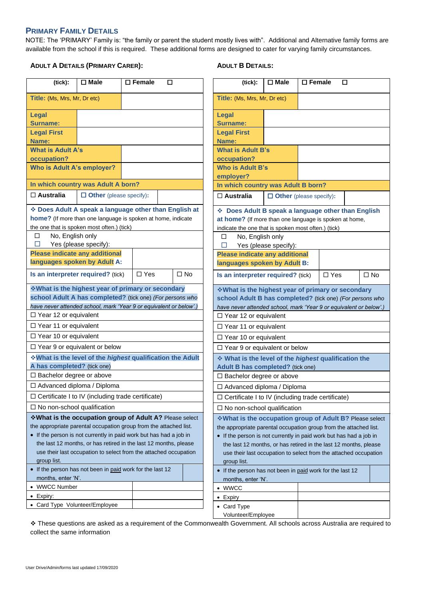## **PRIMARY FAMILY DETAILS**

NOTE: The 'PRIMARY' Family is: "the family or parent the student mostly lives with". Additional and Alternative family forms are available from the school if this is required. These additional forms are designed to cater for varying family circumstances.

## **ADULT A DETAILS (PRIMARY CARER):**

## **ADULT B DETAILS:**

| (tick):                                                                                                                                                                                                                                                                                                                                                   | $\square$ Male                 | $\overline{\Box}$ Female | □ |                                                                                                                                                                                                                                                                                                                                                            | (tick):                                                   | $\square$ Male                                                                                   | $\square$ Female | □          |  |           |
|-----------------------------------------------------------------------------------------------------------------------------------------------------------------------------------------------------------------------------------------------------------------------------------------------------------------------------------------------------------|--------------------------------|--------------------------|---|------------------------------------------------------------------------------------------------------------------------------------------------------------------------------------------------------------------------------------------------------------------------------------------------------------------------------------------------------------|-----------------------------------------------------------|--------------------------------------------------------------------------------------------------|------------------|------------|--|-----------|
| Title: (Ms, Mrs, Mr, Dr etc)                                                                                                                                                                                                                                                                                                                              |                                |                          |   |                                                                                                                                                                                                                                                                                                                                                            | Title: (Ms, Mrs, Mr, Dr etc)                              |                                                                                                  |                  |            |  |           |
| <b>Legal</b><br>Surname:                                                                                                                                                                                                                                                                                                                                  |                                |                          |   |                                                                                                                                                                                                                                                                                                                                                            | Legal<br><b>Surname:</b>                                  |                                                                                                  |                  |            |  |           |
| <b>Legal First</b><br>Name:                                                                                                                                                                                                                                                                                                                               |                                |                          |   |                                                                                                                                                                                                                                                                                                                                                            | <b>Legal First</b><br>Name:                               |                                                                                                  |                  |            |  |           |
| <b>What is Adult A's</b><br>occupation?                                                                                                                                                                                                                                                                                                                   |                                |                          |   |                                                                                                                                                                                                                                                                                                                                                            | <b>What is Adult B's</b><br>occupation?                   |                                                                                                  |                  |            |  |           |
| Who is Adult A's employer?                                                                                                                                                                                                                                                                                                                                |                                |                          |   |                                                                                                                                                                                                                                                                                                                                                            | <b>Who is Adult B's</b><br>employer?                      |                                                                                                  |                  |            |  |           |
| In which country was Adult A born?                                                                                                                                                                                                                                                                                                                        |                                |                          |   |                                                                                                                                                                                                                                                                                                                                                            | In which country was Adult B born?                        |                                                                                                  |                  |            |  |           |
| $\Box$ Australia                                                                                                                                                                                                                                                                                                                                          | $\Box$ Other (please specify): |                          |   |                                                                                                                                                                                                                                                                                                                                                            | $\Box$ Australia                                          | $\Box$ Other (please specify):                                                                   |                  |            |  |           |
| * Does Adult A speak a language other than English at<br>home? (If more than one language is spoken at home, indicate<br>the one that is spoken most often.) (tick)<br>No, English only<br>□<br>□<br>Yes (please specify):<br><b>Please indicate any additional</b>                                                                                       |                                |                          |   | * Does Adult B speak a language other than English<br>at home? (If more than one language is spoken at home,<br>indicate the one that is spoken most often.) (tick)<br>No, English only<br>□<br>□<br><b>Please indicate any additional</b>                                                                                                                 | Yes (please specify):                                     |                                                                                                  |                  |            |  |           |
| languages spoken by Adult A:                                                                                                                                                                                                                                                                                                                              |                                |                          |   | $\Box$ No                                                                                                                                                                                                                                                                                                                                                  | languages spoken by Adult B:                              |                                                                                                  |                  |            |  |           |
| Is an interpreter required? (tick)                                                                                                                                                                                                                                                                                                                        |                                | $\Box$ Yes               |   |                                                                                                                                                                                                                                                                                                                                                            | Is an interpreter required? (tick)                        |                                                                                                  |                  | $\Box$ Yes |  | $\Box$ No |
| *What is the highest year of primary or secondary<br>school Adult A has completed? (tick one) (For persons who<br>have never attended school, mark 'Year 9 or equivalent or below'.)                                                                                                                                                                      |                                |                          |   | ❖ What is the highest year of primary or secondary<br>school Adult B has completed? (tick one) (For persons who<br>have never attended school, mark 'Year 9 or equivalent or below'.)                                                                                                                                                                      |                                                           |                                                                                                  |                  |            |  |           |
| $\Box$ Year 12 or equivalent<br>$\Box$ Year 11 or equivalent                                                                                                                                                                                                                                                                                              |                                |                          |   |                                                                                                                                                                                                                                                                                                                                                            | □ Year 12 or equivalent<br>□ Year 11 or equivalent        |                                                                                                  |                  |            |  |           |
| $\Box$ Year 10 or equivalent                                                                                                                                                                                                                                                                                                                              |                                |                          |   |                                                                                                                                                                                                                                                                                                                                                            | $\Box$ Year 10 or equivalent                              |                                                                                                  |                  |            |  |           |
| $\Box$ Year 9 or equivalent or below                                                                                                                                                                                                                                                                                                                      |                                |                          |   |                                                                                                                                                                                                                                                                                                                                                            | $\Box$ Year 9 or equivalent or below                      |                                                                                                  |                  |            |  |           |
| What is the level of the highest qualification the Adult<br>A has completed? (tick one)                                                                                                                                                                                                                                                                   |                                |                          |   |                                                                                                                                                                                                                                                                                                                                                            |                                                           | ❖ What is the level of the <i>highest</i> qualification the<br>Adult B has completed? (tick one) |                  |            |  |           |
| $\Box$ Bachelor degree or above                                                                                                                                                                                                                                                                                                                           |                                |                          |   |                                                                                                                                                                                                                                                                                                                                                            | □ Bachelor degree or above                                |                                                                                                  |                  |            |  |           |
| □ Advanced diploma / Diploma                                                                                                                                                                                                                                                                                                                              |                                |                          |   |                                                                                                                                                                                                                                                                                                                                                            | □ Advanced diploma / Diploma                              |                                                                                                  |                  |            |  |           |
| $\Box$ Certificate I to IV (including trade certificate)                                                                                                                                                                                                                                                                                                  |                                |                          |   |                                                                                                                                                                                                                                                                                                                                                            | $\Box$ Certificate I to IV (including trade certificate)  |                                                                                                  |                  |            |  |           |
| $\Box$ No non-school qualification                                                                                                                                                                                                                                                                                                                        |                                |                          |   |                                                                                                                                                                                                                                                                                                                                                            | $\square$ No non-school qualification                     |                                                                                                  |                  |            |  |           |
| *What is the occupation group of Adult A? Please select<br>the appropriate parental occupation group from the attached list.<br>• If the person is not currently in paid work but has had a job in<br>the last 12 months, or has retired in the last 12 months, please<br>use their last occupation to select from the attached occupation<br>group list. |                                |                          |   | ❖ What is the occupation group of Adult B? Please select<br>the appropriate parental occupation group from the attached list.<br>• If the person is not currently in paid work but has had a job in<br>the last 12 months, or has retired in the last 12 months, please<br>use their last occupation to select from the attached occupation<br>group list. |                                                           |                                                                                                  |                  |            |  |           |
| • If the person has not been in paid work for the last 12                                                                                                                                                                                                                                                                                                 |                                |                          |   |                                                                                                                                                                                                                                                                                                                                                            | • If the person has not been in paid work for the last 12 |                                                                                                  |                  |            |  |           |
| months, enter 'N'.<br>• WWCC Number                                                                                                                                                                                                                                                                                                                       |                                |                          |   |                                                                                                                                                                                                                                                                                                                                                            | months, enter 'N'.                                        |                                                                                                  |                  |            |  |           |
| $\bullet$ Expiry:                                                                                                                                                                                                                                                                                                                                         |                                |                          |   |                                                                                                                                                                                                                                                                                                                                                            | • WWCC<br>$\bullet$ Expiry                                |                                                                                                  |                  |            |  |           |
| • Card Type Volunteer/Employee                                                                                                                                                                                                                                                                                                                            |                                |                          |   |                                                                                                                                                                                                                                                                                                                                                            | • Card Type                                               |                                                                                                  |                  |            |  |           |
|                                                                                                                                                                                                                                                                                                                                                           |                                |                          |   |                                                                                                                                                                                                                                                                                                                                                            | Volunteer/Employee                                        |                                                                                                  |                  |            |  |           |

❖ These questions are asked as a requirement of the Commonwealth Government. All schools across Australia are required to collect the same information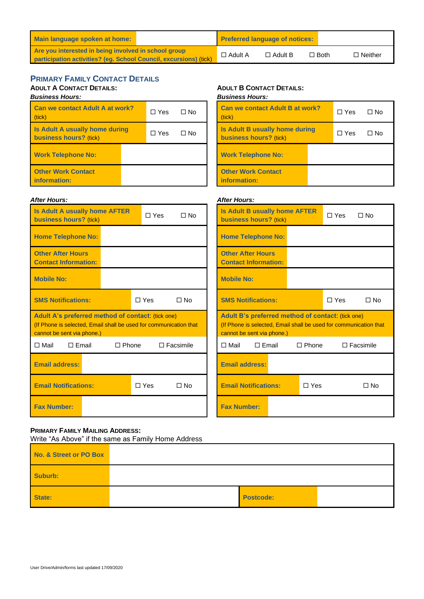| Main language spoken at home:                                                                                             |                | <b>Preferred language of notices:</b> |             |                |
|---------------------------------------------------------------------------------------------------------------------------|----------------|---------------------------------------|-------------|----------------|
| Are you interested in being involved in school group<br>participation activities? (eq. School Council, excursions) (tick) | $\Box$ Adult A | $\Box$ Adult B                        | $\Box$ Both | $\Box$ Neither |

# **PRIMARY FAMILY CONTACT DETAILS**

# **ADULT A CONTACT DETAILS:**

| <b>Business Hours:</b><br><b>Can we contact Adult A at work?</b><br>(tick) | $\Box$ Yes | ∩ No |  |
|----------------------------------------------------------------------------|------------|------|--|
| <b>Is Adult A usually home during</b><br>business hours? (tick)            | $\Box$ Yes | ∩ No |  |
| <b>Work Telephone No:</b>                                                  |            |      |  |
| <b>Other Work Contact</b><br>information:                                  |            |      |  |

#### *After Hours:*

# **Is Adult A usually home AFTER business hours?** (tick)  $\Box$  Yes  $\Box$  No **Home Telephone No: Other After Hours Contact Information: Mobile No: SMS Notifications:**  Yes No **Adult A's preferred method of contact**: (tick one) (If Phone is selected, Email shall be used for communication that cannot be sent via phone.) Mail Email Phone Facsimile **Email address: Email Notifications:** △ DYes DNo **Fax Number:**

#### **ADULT B CONTACT DETAILS:**

*Business Hours:*

| <b>Can we contact Adult B at work?</b><br>(tick)                       | $\Box$ Yes | $\Box$ No |
|------------------------------------------------------------------------|------------|-----------|
| <b>Is Adult B usually home during</b><br><b>business hours?</b> (tick) | □ Yes      | $\Box$ No |
| <b>Work Telephone No:</b>                                              |            |           |
| <b>Other Work Contact</b><br>information:                              |            |           |

#### *After Hours:*

| <b>Is Adult B usually home AFTER</b><br>business hours? (tick)                                                         |                | $\Box$ Yes   | ∩ No  |                  |  |  |  |
|------------------------------------------------------------------------------------------------------------------------|----------------|--------------|-------|------------------|--|--|--|
| <b>Home Telephone No:</b>                                                                                              |                |              |       |                  |  |  |  |
| <b>Other After Hours</b><br><b>Contact Information:</b>                                                                |                |              |       |                  |  |  |  |
| <b>Mobile No:</b>                                                                                                      |                |              |       |                  |  |  |  |
| <b>SMS Notifications:</b>                                                                                              |                |              | □ Yes | $\Box$ No        |  |  |  |
| Adult B's preferred method of contact: (tick one)<br>(If Phone is selected, Email shall be used for communication that |                |              |       |                  |  |  |  |
| cannot be sent via phone.)                                                                                             |                |              |       |                  |  |  |  |
| $\Box$ Mail                                                                                                            | $\sqcap$ Email | $\Box$ Phone |       | $\Box$ Facsimile |  |  |  |
| <b>Email address:</b>                                                                                                  |                |              |       |                  |  |  |  |
| <b>Email Notifications:</b>                                                                                            |                | ת Yes        |       | No T             |  |  |  |

#### **PRIMARY FAMILY MAILING ADDRESS:**

Write "As Above" if the same as Family Home Address

| No. & Street or PO Box |                  |  |
|------------------------|------------------|--|
| Suburb:                |                  |  |
| State:                 | <b>Postcode:</b> |  |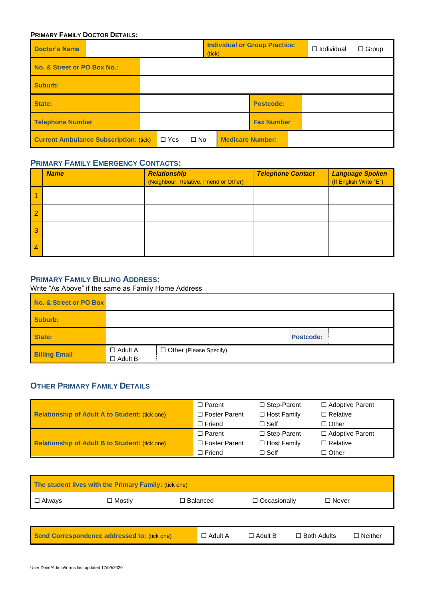#### **PRIMARY FAMILY DOCTOR DETAILS:**

| <b>Doctor's Name</b>                                                     |  |  | <b>Individual or Group Practice:</b><br>(tick) |                   |  | $\Box$ Individual | $\Box$ Group |
|--------------------------------------------------------------------------|--|--|------------------------------------------------|-------------------|--|-------------------|--------------|
| No. & Street or PO Box No.:                                              |  |  |                                                |                   |  |                   |              |
| Suburb:                                                                  |  |  |                                                |                   |  |                   |              |
| State:                                                                   |  |  |                                                | <b>Postcode:</b>  |  |                   |              |
| <b>Telephone Number</b>                                                  |  |  |                                                | <b>Fax Number</b> |  |                   |              |
| <b>Current Ambulance Subscription: (tick)</b><br>$\Box$ Yes<br>$\Box$ No |  |  | <b>Medicare Number:</b>                        |                   |  |                   |              |

# **PRIMARY FAMILY EMERGENCY CONTACTS:**

|   | <b>Name</b> | Relationship<br>(Neighbour, Relative, Friend or Other) | <b>Telephone Contact</b> | Language Spoken<br>(If English Write "E") |
|---|-------------|--------------------------------------------------------|--------------------------|-------------------------------------------|
|   |             |                                                        |                          |                                           |
|   |             |                                                        |                          |                                           |
| 3 |             |                                                        |                          |                                           |
| 4 |             |                                                        |                          |                                           |

# **PRIMARY FAMILY BILLING ADDRESS:**

Write "As Above" if the same as Family Home Address

| No. & Street or PO Box |                                  |                          |                  |
|------------------------|----------------------------------|--------------------------|------------------|
| Suburb:                |                                  |                          |                  |
| State:                 |                                  |                          | <b>Postcode:</b> |
| <b>Billing Email</b>   | $\Box$ Adult A<br>$\Box$ Adult B | □ Other (Please Specify) |                  |

# **OTHER PRIMARY FAMILY DETAILS**

|                                                       | $\Box$ Parent        | $\Box$ Step-Parent | $\Box$ Adoptive Parent |
|-------------------------------------------------------|----------------------|--------------------|------------------------|
| <b>Relationship of Adult A to Student: (tick one)</b> | $\Box$ Foster Parent | $\Box$ Host Family | $\Box$ Relative        |
|                                                       | $\Box$ Friend        | $\Box$ Self        | $\Box$ Other           |
|                                                       | $\Box$ Parent        | $\Box$ Step-Parent | $\Box$ Adoptive Parent |
| <b>Relationship of Adult B to Student: (tick one)</b> | $\Box$ Foster Parent | $\Box$ Host Family | $\Box$ Relative        |
|                                                       | $\Box$ Friend        | $\Box$ Self        | $\Box$ Other           |

| The student lives with the Primary Family: (tick one) |               |                 |                |              |  |  |
|-------------------------------------------------------|---------------|-----------------|----------------|--------------|--|--|
| $\Box$ Always                                         | $\Box$ Mostly | $\Box$ Balanced | □ Occasionally | $\Box$ Never |  |  |
|                                                       |               |                 |                |              |  |  |

| Send Correspondence addressed to: (tick one) | $\Box$ Adult A | $\sqcap$ Adult B | □ Both Adults | $\neg$ Neither |
|----------------------------------------------|----------------|------------------|---------------|----------------|
|----------------------------------------------|----------------|------------------|---------------|----------------|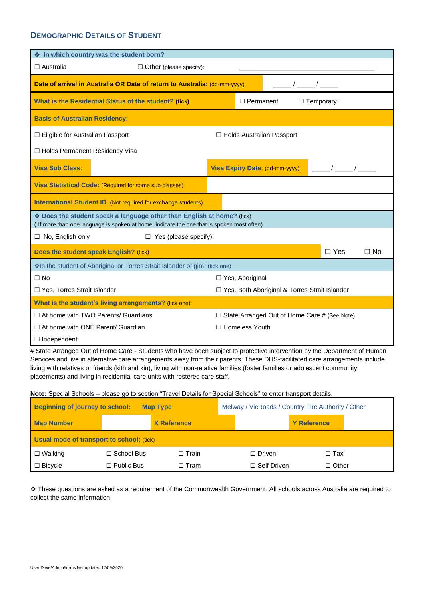## **DEMOGRAPHIC DETAILS OF STUDENT**

| ♦ In which country was the student born?                                                                                                                             |                                                 |
|----------------------------------------------------------------------------------------------------------------------------------------------------------------------|-------------------------------------------------|
| $\Box$ Australia<br>$\Box$ Other (please specify):                                                                                                                   |                                                 |
| Date of arrival in Australia OR Date of return to Australia: (dd-mm-yyyy)                                                                                            | $\sqrt{2}$                                      |
| What is the Residential Status of the student? (tick)                                                                                                                | $\Box$ Permanent<br>$\Box$ Temporary            |
| <b>Basis of Australian Residency:</b>                                                                                                                                |                                                 |
| □ Eligible for Australian Passport                                                                                                                                   | □ Holds Australian Passport                     |
| □ Holds Permanent Residency Visa                                                                                                                                     |                                                 |
| <b>Visa Sub Class:</b>                                                                                                                                               | Visa Expiry Date: (dd-mm-yyyy)                  |
| Visa Statistical Code: (Required for some sub-classes)                                                                                                               |                                                 |
| <b>International Student ID: (Not required for exchange students)</b>                                                                                                |                                                 |
| ◆ Does the student speak a language other than English at home? (tick)<br>( If more than one language is spoken at home, indicate the one that is spoken most often) |                                                 |
| $\Box$ No, English only<br>$\Box$ Yes (please specify):                                                                                                              |                                                 |
| Does the student speak English? (tick)                                                                                                                               | $\Box$ Yes<br>$\Box$ No                         |
| Is the student of Aboriginal or Torres Strait Islander origin? (tick one)                                                                                            |                                                 |
| $\Box$ No                                                                                                                                                            | □ Yes, Aboriginal                               |
| □ Yes, Torres Strait Islander                                                                                                                                        | □ Yes, Both Aboriginal & Torres Strait Islander |
| What is the student's living arrangements? (tick one):                                                                                                               |                                                 |
| $\Box$ At home with TWO Parents/ Guardians                                                                                                                           | □ State Arranged Out of Home Care # (See Note)  |
| $\Box$ At home with ONE Parent/ Guardian                                                                                                                             | □ Homeless Youth                                |
| $\Box$ Independent                                                                                                                                                   |                                                 |

# State Arranged Out of Home Care - Students who have been subject to protective intervention by the Department of Human Services and live in alternative care arrangements away from their parents. These DHS-facilitated care arrangements include living with relatives or friends (kith and kin), living with non-relative families (foster families or adolescent community placements) and living in residential care units with rostered care staff.

**Note:** Special Schools – please go to section "Travel Details for Special Schools" to enter transport details.

| <b>Beginning of journey to school:</b><br><b>Map Type</b> |                   |                    | Melway / VicRoads / Country Fire Authority / Other |               |                    |  |
|-----------------------------------------------------------|-------------------|--------------------|----------------------------------------------------|---------------|--------------------|--|
| <b>Map Number</b>                                         |                   | <b>X</b> Reference |                                                    |               | <b>Y</b> Reference |  |
| Usual mode of transport to school: (tick)                 |                   |                    |                                                    |               |                    |  |
| $\Box$ Walking                                            | $\Box$ School Bus | $\Box$ Train       |                                                    | $\Box$ Driven | □ Taxi             |  |
| $\Box$ Bicycle                                            | $\Box$ Public Bus | □ Tram             | $\Box$ Self Driven<br>$\Box$ Other                 |               |                    |  |

❖ These questions are asked as a requirement of the Commonwealth Government. All schools across Australia are required to collect the same information.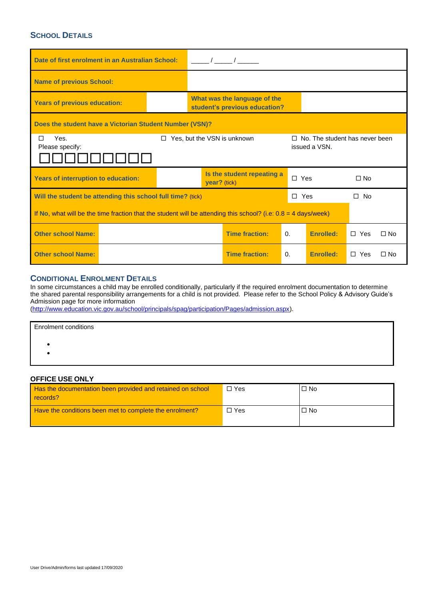# **SCHOOL DETAILS**

| Date of first enrolment in an Australian School:                                                                                |  |                                            |                                                               |            |                  |              |           |
|---------------------------------------------------------------------------------------------------------------------------------|--|--------------------------------------------|---------------------------------------------------------------|------------|------------------|--------------|-----------|
| <b>Name of previous School:</b>                                                                                                 |  |                                            |                                                               |            |                  |              |           |
| <b>Years of previous education:</b>                                                                                             |  |                                            | What was the language of the<br>student's previous education? |            |                  |              |           |
| Does the student have a Victorian Student Number (VSN)?                                                                         |  |                                            |                                                               |            |                  |              |           |
| Yes.<br>Yes, but the VSN is unknown<br>$\Box$ No. The student has never been<br>п<br>$\Box$<br>issued a VSN.<br>Please specify: |  |                                            |                                                               |            |                  |              |           |
|                                                                                                                                 |  | Is the student repeating a<br>year? (tick) |                                                               |            |                  |              |           |
| <b>Years of interruption to education:</b>                                                                                      |  |                                            |                                                               | $\Box$ Yes |                  | $\Box$ No    |           |
| Will the student be attending this school full time? (tick)                                                                     |  |                                            |                                                               | $\Box$ Yes |                  | $\square$ No |           |
| If No, what will be the time fraction that the student will be attending this school? (i.e: $0.8 = 4$ days/week)                |  |                                            |                                                               |            |                  |              |           |
| <b>Other school Name:</b>                                                                                                       |  |                                            | <b>Time fraction:</b>                                         | $\Omega$ . | <b>Enrolled:</b> | $\Box$ Yes   | $\Box$ No |

## **CONDITIONAL ENROLMENT DETAILS**

In some circumstances a child may be enrolled conditionally, particularly if the required enrolment documentation to determine the shared parental responsibility arrangements for a child is not provided. Please refer to the School Policy & Advisory Guide's Admission page for more information

[\(http://www.education.vic.gov.au/school/principals/spag/participation/Pages/admission.aspx\)](http://www.education.vic.gov.au/school/principals/spag/participation/Pages/admission.aspx).

| <b>Enrolment conditions</b> |  |
|-----------------------------|--|
|                             |  |
|                             |  |
|                             |  |

# **OFFICE USE ONLY**

| Has the documentation been provided and retained on school<br>records? | $\Box$ Yes | $\Box$ No |
|------------------------------------------------------------------------|------------|-----------|
| Have the conditions been met to complete the enrolment?                | $\Box$ Yes | $\Box$ No |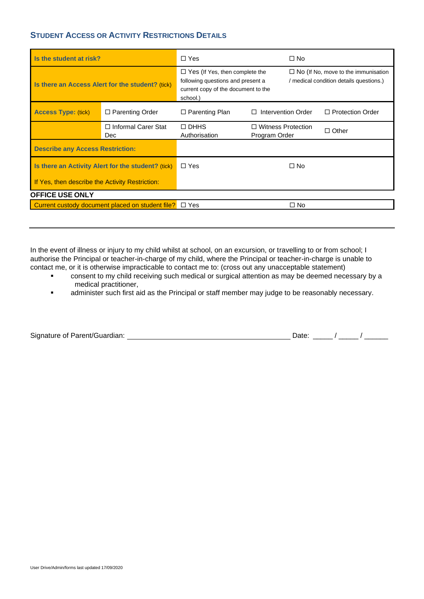# **STUDENT ACCESS OR ACTIVITY RESTRICTIONS DETAILS**

| Is the student at risk?                            |                                                  | $\Box$ Yes                                                                                                                    |                                            | $\square$ No                                                                          |                         |
|----------------------------------------------------|--------------------------------------------------|-------------------------------------------------------------------------------------------------------------------------------|--------------------------------------------|---------------------------------------------------------------------------------------|-------------------------|
| Is there an Access Alert for the student? (tick)   |                                                  | $\Box$ Yes (If Yes, then complete the<br>following questions and present a<br>current copy of the document to the<br>school.) |                                            | $\Box$ No (If No, move to the immunisation<br>/ medical condition details questions.) |                         |
| <b>Access Type: (tick)</b>                         | $\Box$ Parenting Order                           | $\Box$ Parenting Plan                                                                                                         | П                                          | Intervention Order                                                                    | $\Box$ Protection Order |
|                                                    | $\Box$ Informal Carer Stat<br><b>Dec</b>         | $\Box$ DHHS<br>Authorisation                                                                                                  | $\Box$ Witness Protection<br>Program Order |                                                                                       | $\Box$ Other            |
| <b>Describe any Access Restriction:</b>            |                                                  |                                                                                                                               |                                            |                                                                                       |                         |
| Is there an Activity Alert for the student? (tick) |                                                  | $\Box$ Yes                                                                                                                    |                                            | $\square$ No                                                                          |                         |
| If Yes, then describe the Activity Restriction:    |                                                  |                                                                                                                               |                                            |                                                                                       |                         |
| <b>OFFICE USE ONLY</b>                             |                                                  |                                                                                                                               |                                            |                                                                                       |                         |
|                                                    | Current custody document placed on student file? | $\Box$ Yes                                                                                                                    |                                            | $\Box$ No                                                                             |                         |

In the event of illness or injury to my child whilst at school, on an excursion, or travelling to or from school; I authorise the Principal or teacher-in-charge of my child, where the Principal or teacher-in-charge is unable to contact me, or it is otherwise impracticable to contact me to: (cross out any unacceptable statement)

- consent to my child receiving such medical or surgical attention as may be deemed necessary by a medical practitioner,
- **■** administer such first aid as the Principal or staff member may judge to be reasonably necessary.

|  | Signature of Parent/Guardian: |
|--|-------------------------------|
|  |                               |

Signature of Parents of Parents of Parents  $\frac{1}{2}$  / \_\_\_\_\_ / \_\_\_\_\_\_\_ / \_\_\_\_\_\_\_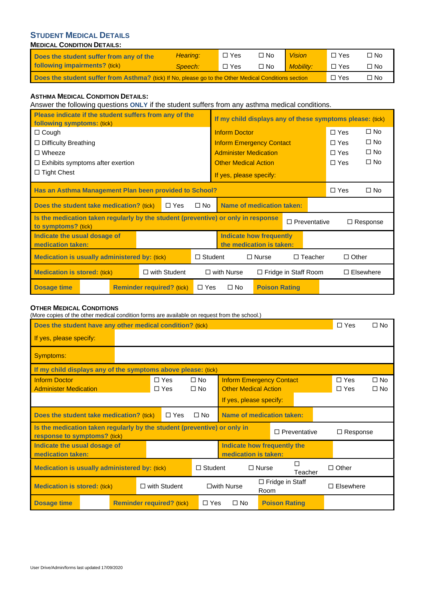# **STUDENT MEDICAL DETAILS**

## **MEDICAL CONDITION DETAILS:**

| Does the student suffer from any of the                                                                       | Hearing: | $\Box$ Yes | $\Box$ No | <b>Vision</b>    | $\Box$ Yes | □ No      |
|---------------------------------------------------------------------------------------------------------------|----------|------------|-----------|------------------|------------|-----------|
| following impairments? (tick)                                                                                 | Speech:  | $\Box$ Yes | $\Box$ No | <b>Mobility:</b> | $\Box$ Yes | $\Box$ No |
| Does the student suffer from Asthma? (tick) If No, please go to the Other Medical Conditions section<br>□ Yes |          |            |           |                  |            | י No      |

# **ASTHMA MEDICAL CONDITION DETAILS:**

Answer the following questions **ONLY** if the student suffers from any asthma medical conditions.

| Please indicate if the student suffers from any of the<br>following symptoms: (tick)                     |                                  |            | If my child displays any of these symptoms please: (tick)        |                      |                     |                  |                 |
|----------------------------------------------------------------------------------------------------------|----------------------------------|------------|------------------------------------------------------------------|----------------------|---------------------|------------------|-----------------|
| $\Box$ Cough                                                                                             |                                  |            | <b>Inform Doctor</b>                                             |                      |                     | $\Box$ Yes       | $\Box$ No       |
| □ Difficulty Breathing                                                                                   |                                  |            | <b>Inform Emergency Contact</b>                                  |                      |                     | $\Box$ Yes       | $\square$ No    |
| $\square$ Wheeze                                                                                         |                                  |            | <b>Administer Medication</b>                                     |                      |                     | $\Box$ Yes       | $\square$ No    |
| $\Box$ Exhibits symptoms after exertion                                                                  |                                  |            | <b>Other Medical Action</b>                                      |                      |                     | $\Box$ Yes       | $\square$ No    |
| $\Box$ Tight Chest                                                                                       |                                  |            | If yes, please specify:                                          |                      |                     |                  |                 |
| Has an Asthma Management Plan been provided to School?                                                   |                                  |            |                                                                  |                      |                     | $\Box$ Yes       | $\square$ No    |
| Does the student take medication? (tick)                                                                 | $\Box$ Yes                       | $\Box$ No  | Name of medication taken:                                        |                      |                     |                  |                 |
| Is the medication taken regularly by the student (preventive) or only in response<br>to symptoms? (tick) |                                  |            |                                                                  |                      | $\Box$ Preventative |                  | $\Box$ Response |
| Indicate the usual dosage of<br>medication taken:                                                        |                                  |            | <b>Indicate how frequently</b><br>the medication is taken:       |                      |                     |                  |                 |
| <b>Medication is usually administered by: (tick)</b>                                                     |                                  |            | $\Box$ Other<br>$\Box$ Student<br>$\Box$ Nurse<br>$\Box$ Teacher |                      |                     |                  |                 |
| <b>Medication is stored: (tick)</b>                                                                      | $\Box$ with Student              |            | $\Box$ with Nurse<br>$\Box$ Fridge in Staff Room                 |                      |                     | $\Box$ Elsewhere |                 |
| <b>Dosage time</b>                                                                                       | <b>Reminder required? (tick)</b> | $\Box$ Yes | $\square$ No                                                     | <b>Poison Rating</b> |                     |                  |                 |

## **OTHER MEDICAL CONDITIONS**

(More copies of the other medical condition forms are available on request from the school.)

| Does the student have any other medical condition? (tick)                                                                                          |                                  |                          |                                                        |                                                                | $\Box$ Yes                | $\Box$ No                |                              |  |
|----------------------------------------------------------------------------------------------------------------------------------------------------|----------------------------------|--------------------------|--------------------------------------------------------|----------------------------------------------------------------|---------------------------|--------------------------|------------------------------|--|
| If yes, please specify:                                                                                                                            |                                  |                          |                                                        |                                                                |                           |                          |                              |  |
| Symptoms:                                                                                                                                          |                                  |                          |                                                        |                                                                |                           |                          |                              |  |
| If my child displays any of the symptoms above please: (tick)                                                                                      |                                  |                          |                                                        |                                                                |                           |                          |                              |  |
| <b>Inform Doctor</b><br><b>Administer Medication</b>                                                                                               |                                  | $\Box$ Yes<br>$\Box$ Yes | $\Box$ No<br>$\square$ No                              | <b>Inform Emergency Contact</b><br><b>Other Medical Action</b> |                           | $\Box$ Yes<br>$\Box$ Yes | $\square$ No<br>$\square$ No |  |
|                                                                                                                                                    |                                  |                          |                                                        | If yes, please specify:                                        |                           |                          |                              |  |
| Does the student take medication? (tick)<br>$\Box$ Yes                                                                                             |                                  |                          | $\square$ No                                           |                                                                | Name of medication taken: |                          |                              |  |
| Is the medication taken regularly by the student (preventive) or only in<br>$\Box$ Preventative<br>$\Box$ Response<br>response to symptoms? (tick) |                                  |                          |                                                        |                                                                |                           |                          |                              |  |
| Indicate the usual dosage of<br>medication taken:                                                                                                  |                                  |                          | Indicate how frequently the<br>medication is taken:    |                                                                |                           |                          |                              |  |
| Medication is usually administered by: (tick)                                                                                                      |                                  | $\Box$ Student           | П<br>$\Box$ Nurse<br>Teacher                           |                                                                | $\Box$ Other              |                          |                              |  |
| $\Box$ with Student<br><b>Medication is stored: (tick)</b>                                                                                         |                                  |                          | $\Box$ Fridge in Staff<br>$\square$ with Nurse<br>Room |                                                                |                           | $\Box$ Elsewhere         |                              |  |
| Dosage time                                                                                                                                        | <b>Reminder required? (tick)</b> |                          | $\Box$ Yes                                             | $\square$ No                                                   | <b>Poison Rating</b>      |                          |                              |  |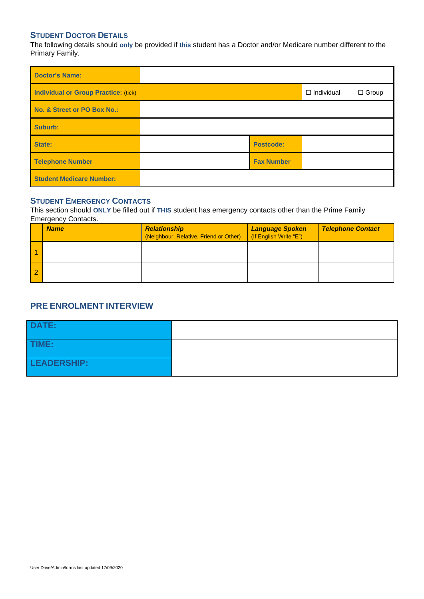## **STUDENT DOCTOR DETAILS**

The following details should **only** be provided if **this** student has a Doctor and/or Medicare number different to the Primary Family.

| <b>Doctor's Name:</b>                       |                   |                   |              |
|---------------------------------------------|-------------------|-------------------|--------------|
| <b>Individual or Group Practice: (tick)</b> |                   | $\Box$ Individual | $\Box$ Group |
| No. & Street or PO Box No.:                 |                   |                   |              |
| Suburb:                                     |                   |                   |              |
| State:                                      | <b>Postcode:</b>  |                   |              |
| <b>Telephone Number</b>                     | <b>Fax Number</b> |                   |              |
| <b>Student Medicare Number:</b>             |                   |                   |              |

# **STUDENT EMERGENCY CONTACTS**

This section should **ONLY** be filled out if **THIS** student has emergency contacts other than the Prime Family Emergency Contacts.

| <b>Name</b> | <b>Relationship</b><br>(Neighbour, Relative, Friend or Other) | Language Spoken<br>If English Write "E") | <b>Telephone Contact</b> |
|-------------|---------------------------------------------------------------|------------------------------------------|--------------------------|
|             |                                                               |                                          |                          |
|             |                                                               |                                          |                          |

# **PRE ENROLMENT INTERVIEW**

| <b>DATE:</b> |  |
|--------------|--|
| TIME:        |  |
| LEADERSHIP:  |  |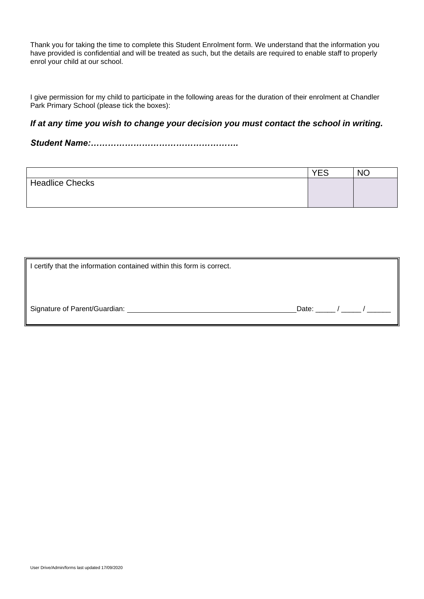Thank you for taking the time to complete this Student Enrolment form. We understand that the information you have provided is confidential and will be treated as such, but the details are required to enable staff to properly enrol your child at our school.

I give permission for my child to participate in the following areas for the duration of their enrolment at Chandler Park Primary School (please tick the boxes):

# *If at any time you wish to change your decision you must contact the school in writing.*

*Student Name:…………………………………………….*

|                        | <b>YES</b> | <b>NC</b> |
|------------------------|------------|-----------|
| <b>Headlice Checks</b> |            |           |
|                        |            |           |
|                        |            |           |

| certify that the information contained within this form is correct. |                     |
|---------------------------------------------------------------------|---------------------|
| Signature of Parent/Guardian:                                       | Date:<br>$\sqrt{2}$ |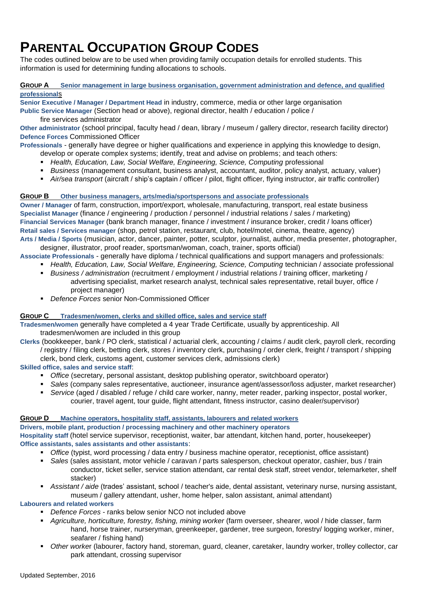# **PARENTAL OCCUPATION GROUP CODES**

The codes outlined below are to be used when providing family occupation details for enrolled students. This information is used for determining funding allocations to schools.

#### **GROUP A Senior management in large business organisation, government administration and defence, and qualified professional**s

**Senior Executive / Manager / Department Head** in industry, commerce, media or other large organisation

**Public Service Manager** (Section head or above), regional director, health / education / police / fire services administrator

**Other administrator** (school principal, faculty head / dean, library / museum / gallery director, research facility director) **Defence Forces** Commissioned Officer

**Professionals** - generally have degree or higher qualifications and experience in applying this knowledge to design,

- develop or operate complex systems; identify, treat and advise on problems; and teach others:
- *Health, Education, Law, Social Welfare, Engineering, Science, Computing* professional
- *Business* (management consultant, business analyst, accountant, auditor, policy analyst, actuary, valuer)
- *Air/sea transport* (aircraft / ship's captain / officer / pilot, flight officer, flying instructor, air traffic controller)

### **GROUP B Other business managers, arts/media/sportspersons and associate professionals**

**Owner / Manager** of farm, construction, import/export, wholesale, manufacturing, transport, real estate business **Specialist Manager** (finance / engineering / production / personnel / industrial relations / sales / marketing) **Financial Services Manager** (bank branch manager, finance / investment / insurance broker, credit / loans officer) **Retail sales / Services manager** (shop, petrol station, restaurant, club, hotel/motel, cinema, theatre, agency) **Arts / Media / Sports** (musician, actor, dancer, painter, potter, sculptor, journalist, author, media presenter, photographer,

designer, illustrator, proof reader, sportsman/woman, coach, trainer, sports official)

**Associate Professionals** - generally have diploma / technical qualifications and support managers and professionals:

- *Health, Education, Law, Social Welfare, Engineering, Science, Computing technician / associate professional*
- *Business / administration* (recruitment / employment / industrial relations / training officer, marketing / advertising specialist, market research analyst, technical sales representative, retail buyer, office / project manager)
- *Defence Forces* senior Non-Commissioned Officer

### **GROUP C Tradesmen/women, clerks and skilled office, sales and service staff**

**Tradesmen/women** generally have completed a 4 year Trade Certificate, usually by apprenticeship. All tradesmen/women are included in this group

**Clerks** (bookkeeper, bank / PO clerk, statistical / actuarial clerk, accounting / claims / audit clerk, payroll clerk, recording / registry / filing clerk, betting clerk, stores / inventory clerk, purchasing / order clerk, freight / transport / shipping clerk, bond clerk, customs agent, customer services clerk, admissions clerk)

### **Skilled office, sales and service staff**:

- *Office* (secretary, personal assistant, desktop publishing operator, switchboard operator)
- *Sales* (company sales representative, auctioneer, insurance agent/assessor/loss adjuster, market researcher)
- *Service* (aged / disabled / refuge / child care worker, nanny, meter reader, parking inspector, postal worker, courier, travel agent, tour guide, flight attendant, fitness instructor, casino dealer/supervisor)

### **GROUP D Machine operators, hospitality staff, assistants, labourers and related workers**

**Drivers, mobile plant, production / processing machinery and other machinery operators**

**Hospitality staff** (hotel service supervisor, receptionist, waiter, bar attendant, kitchen hand, porter, housekeeper) **Office assistants, sales assistants and other assistants**:

- *Office* (typist, word processing / data entry / business machine operator, receptionist, office assistant)
- *Sales* (sales assistant, motor vehicle / caravan / parts salesperson, checkout operator, cashier, bus / train conductor, ticket seller, service station attendant, car rental desk staff, street vendor, telemarketer, shelf stacker)
- *Assistant / aide* (trades' assistant, school / teacher's aide, dental assistant, veterinary nurse, nursing assistant, museum / gallery attendant, usher, home helper, salon assistant, animal attendant)

## **Labourers and related workers**

- *Defence Forces* ranks below senior NCO not included above
- *Agriculture, horticulture, forestry, fishing, mining worker* (farm overseer, shearer, wool / hide classer, farm hand, horse trainer, nurseryman, greenkeeper, gardener, tree surgeon, forestry/ logging worker, miner, seafarer / fishing hand)
- *Other worke*r (labourer, factory hand, storeman, guard, cleaner, caretaker, laundry worker, trolley collector, car park attendant, crossing supervisor